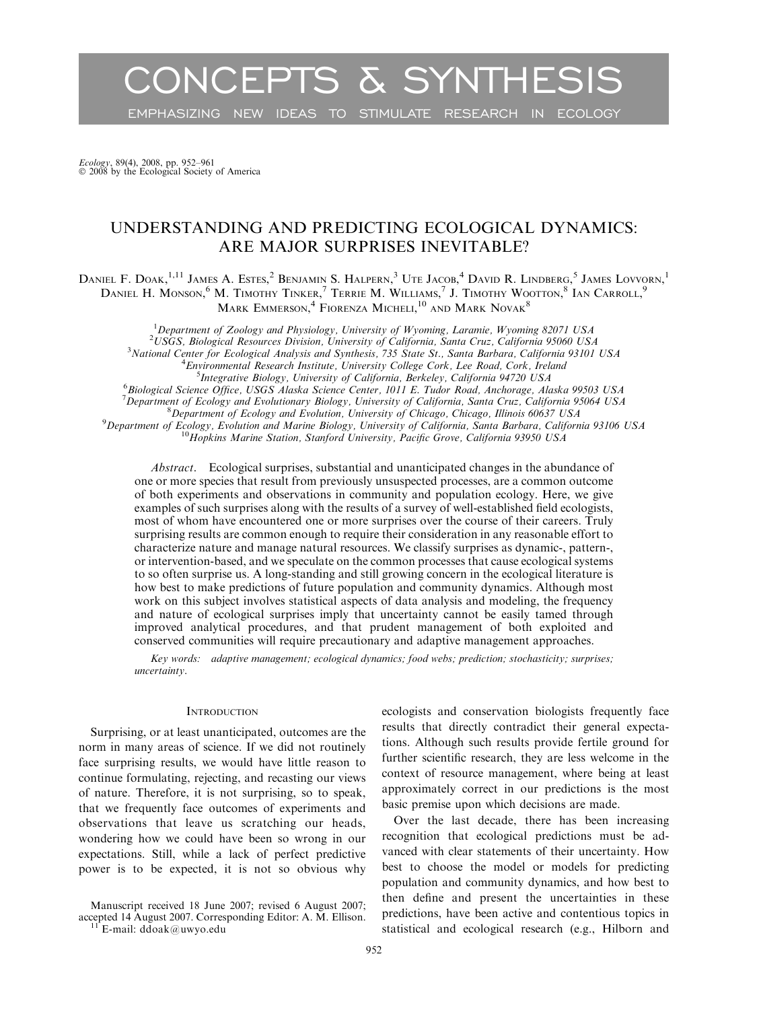# CONCEPTS & SYNTHESIS

EMPHASIZING NEW IDEAS TO STIMULATE RESEARCH IN ECOLOGY

Ecology, 89(4), 2008, pp. 952–961  $\circ$  2008 by the Ecological Society of America

### UNDERSTANDING AND PREDICTING ECOLOGICAL DYNAMICS: ARE MAJOR SURPRISES INEVITABLE?

DANIEL F. DOAK,<sup>1,11</sup> JAMES A. ESTES,<sup>2</sup> BENJAMIN S. HALPERN,<sup>3</sup> Ute JACOB,<sup>4</sup> DAVID R. LINDBERG,<sup>5</sup> JAMES LOVVORN,<sup>1</sup> DANIEL H. MONSON,<sup>6</sup> M. Timothy Tinker,<sup>7</sup> Terrie M. Williams,<sup>7</sup> J. Timothy Wootton,<sup>8</sup> Ian Carroll,<sup>9</sup> Mark Emmerson, $^4$  Fiorenza Michell,  $^{10}$  and Mark Novak $^8$ 

<sup>1</sup>Department of Zoology and Physiology, University of Wyoming, Laramie, Wyoming 82071 USA<br><sup>2</sup>USGS - Biological Resources Division, University of California, Santa Cruz, California 05060 USA  $^{2}USGS$ , Biological Resources Division, University of California, Santa Cruz, California 95060 USA <sup>3</sup>National Center for Ecological Analysis and Synthesis, 735 State St., Santa Barbara, California 93101 USA <sup>4</sup>Environmental Research Institute, University College Cork, Lee Road, Cork, Ireland <sup>5</sup>Integrative Biology, University of California, Berkeley, California 94720 USA Biological Science Office, USGS Alaska Science Center, 1011 E. Tudor Road, Anchorage, Alaska 99503 USA Department of Ecology and Evolutionary Biology, University of California, Santa Cruz, California 95064 USA<br><sup>8</sup> Department of Ecology and Evolution, University of Chiaggo Chiaggo Illinois 60637 USA  $8$ Department of Ecology and Evolution, University of Chicago, Chicago, Illinois 60637 USA <sup>9</sup> Department of Ecology, Evolution and Marine Biology, University of California, Santa Barbara, California 93106 USA <sup>10</sup>Hopkins Marine Station, Stanford University, Pacific Grove, California 93950 USA

Abstract. Ecological surprises, substantial and unanticipated changes in the abundance of one or more species that result from previously unsuspected processes, are a common outcome of both experiments and observations in community and population ecology. Here, we give examples of such surprises along with the results of a survey of well-established field ecologists, most of whom have encountered one or more surprises over the course of their careers. Truly surprising results are common enough to require their consideration in any reasonable effort to characterize nature and manage natural resources. We classify surprises as dynamic-, pattern-, or intervention-based, and we speculate on the common processes that cause ecological systems to so often surprise us. A long-standing and still growing concern in the ecological literature is how best to make predictions of future population and community dynamics. Although most work on this subject involves statistical aspects of data analysis and modeling, the frequency and nature of ecological surprises imply that uncertainty cannot be easily tamed through improved analytical procedures, and that prudent management of both exploited and conserved communities will require precautionary and adaptive management approaches.

Key words: adaptive management; ecological dynamics; food webs; prediction; stochasticity; surprises; uncertainty.

#### **INTRODUCTION**

Surprising, or at least unanticipated, outcomes are the norm in many areas of science. If we did not routinely face surprising results, we would have little reason to continue formulating, rejecting, and recasting our views of nature. Therefore, it is not surprising, so to speak, that we frequently face outcomes of experiments and observations that leave us scratching our heads, wondering how we could have been so wrong in our expectations. Still, while a lack of perfect predictive power is to be expected, it is not so obvious why

ecologists and conservation biologists frequently face results that directly contradict their general expectations. Although such results provide fertile ground for further scientific research, they are less welcome in the context of resource management, where being at least approximately correct in our predictions is the most basic premise upon which decisions are made.

Over the last decade, there has been increasing recognition that ecological predictions must be advanced with clear statements of their uncertainty. How best to choose the model or models for predicting population and community dynamics, and how best to then define and present the uncertainties in these predictions, have been active and contentious topics in statistical and ecological research (e.g., Hilborn and

Manuscript received 18 June 2007; revised 6 August 2007; accepted 14 August 2007. Corresponding Editor: A. M. Ellison. <sup>11</sup> E-mail: ddoak@uwyo.edu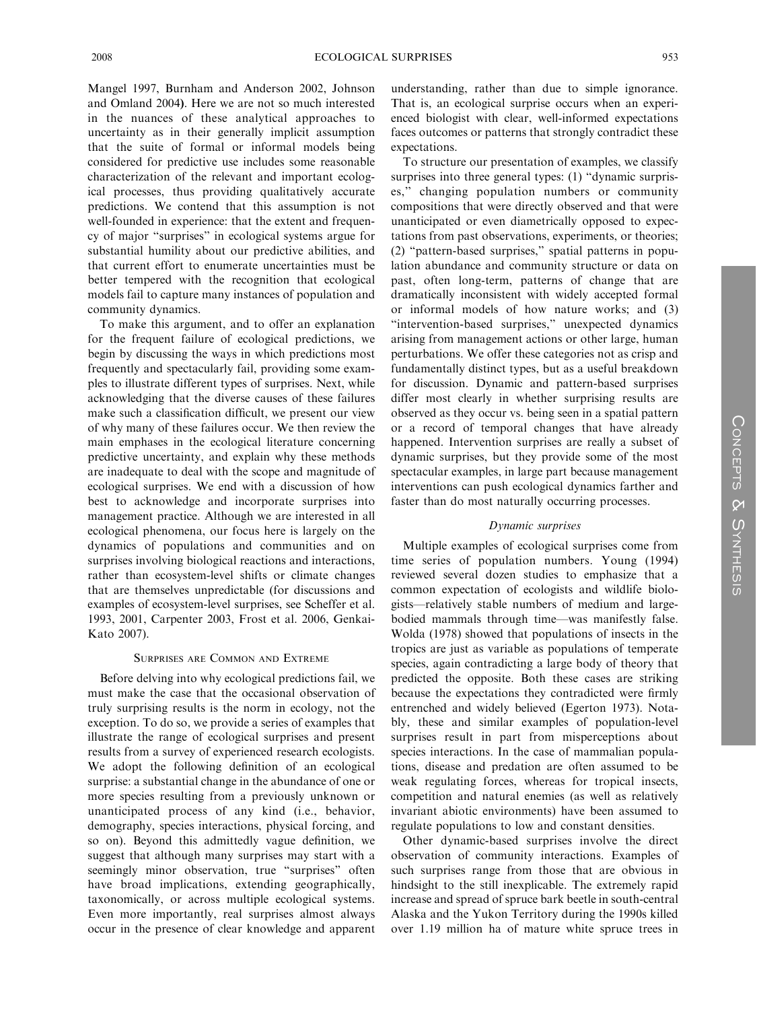Mangel 1997, Burnham and Anderson 2002, Johnson and Omland 2004). Here we are not so much interested in the nuances of these analytical approaches to uncertainty as in their generally implicit assumption that the suite of formal or informal models being considered for predictive use includes some reasonable characterization of the relevant and important ecological processes, thus providing qualitatively accurate predictions. We contend that this assumption is not well-founded in experience: that the extent and frequency of major ''surprises'' in ecological systems argue for substantial humility about our predictive abilities, and that current effort to enumerate uncertainties must be better tempered with the recognition that ecological models fail to capture many instances of population and community dynamics.

To make this argument, and to offer an explanation for the frequent failure of ecological predictions, we begin by discussing the ways in which predictions most frequently and spectacularly fail, providing some examples to illustrate different types of surprises. Next, while acknowledging that the diverse causes of these failures make such a classification difficult, we present our view of why many of these failures occur. We then review the main emphases in the ecological literature concerning predictive uncertainty, and explain why these methods are inadequate to deal with the scope and magnitude of ecological surprises. We end with a discussion of how best to acknowledge and incorporate surprises into management practice. Although we are interested in all ecological phenomena, our focus here is largely on the dynamics of populations and communities and on surprises involving biological reactions and interactions, rather than ecosystem-level shifts or climate changes that are themselves unpredictable (for discussions and examples of ecosystem-level surprises, see Scheffer et al. 1993, 2001, Carpenter 2003, Frost et al. 2006, Genkai-Kato 2007).

#### SURPRISES ARE COMMON AND EXTREME

Before delving into why ecological predictions fail, we must make the case that the occasional observation of truly surprising results is the norm in ecology, not the exception. To do so, we provide a series of examples that illustrate the range of ecological surprises and present results from a survey of experienced research ecologists. We adopt the following definition of an ecological surprise: a substantial change in the abundance of one or more species resulting from a previously unknown or unanticipated process of any kind (i.e., behavior, demography, species interactions, physical forcing, and so on). Beyond this admittedly vague definition, we suggest that although many surprises may start with a seemingly minor observation, true "surprises" often have broad implications, extending geographically, taxonomically, or across multiple ecological systems. Even more importantly, real surprises almost always occur in the presence of clear knowledge and apparent understanding, rather than due to simple ignorance. That is, an ecological surprise occurs when an experienced biologist with clear, well-informed expectations faces outcomes or patterns that strongly contradict these expectations.

To structure our presentation of examples, we classify surprises into three general types: (1) "dynamic surprises,'' changing population numbers or community compositions that were directly observed and that were unanticipated or even diametrically opposed to expectations from past observations, experiments, or theories; (2) ''pattern-based surprises,'' spatial patterns in population abundance and community structure or data on past, often long-term, patterns of change that are dramatically inconsistent with widely accepted formal or informal models of how nature works; and (3) "intervention-based surprises," unexpected dynamics arising from management actions or other large, human perturbations. We offer these categories not as crisp and fundamentally distinct types, but as a useful breakdown for discussion. Dynamic and pattern-based surprises differ most clearly in whether surprising results are observed as they occur vs. being seen in a spatial pattern or a record of temporal changes that have already happened. Intervention surprises are really a subset of dynamic surprises, but they provide some of the most spectacular examples, in large part because management interventions can push ecological dynamics farther and faster than do most naturally occurring processes.

#### Dynamic surprises

Multiple examples of ecological surprises come from time series of population numbers. Young (1994) reviewed several dozen studies to emphasize that a common expectation of ecologists and wildlife biologists—relatively stable numbers of medium and largebodied mammals through time—was manifestly false. Wolda (1978) showed that populations of insects in the tropics are just as variable as populations of temperate species, again contradicting a large body of theory that predicted the opposite. Both these cases are striking because the expectations they contradicted were firmly entrenched and widely believed (Egerton 1973). Notably, these and similar examples of population-level surprises result in part from misperceptions about species interactions. In the case of mammalian populations, disease and predation are often assumed to be weak regulating forces, whereas for tropical insects, competition and natural enemies (as well as relatively invariant abiotic environments) have been assumed to regulate populations to low and constant densities.

Other dynamic-based surprises involve the direct observation of community interactions. Examples of such surprises range from those that are obvious in hindsight to the still inexplicable. The extremely rapid increase and spread of spruce bark beetle in south-central Alaska and the Yukon Territory during the 1990s killed over 1.19 million ha of mature white spruce trees in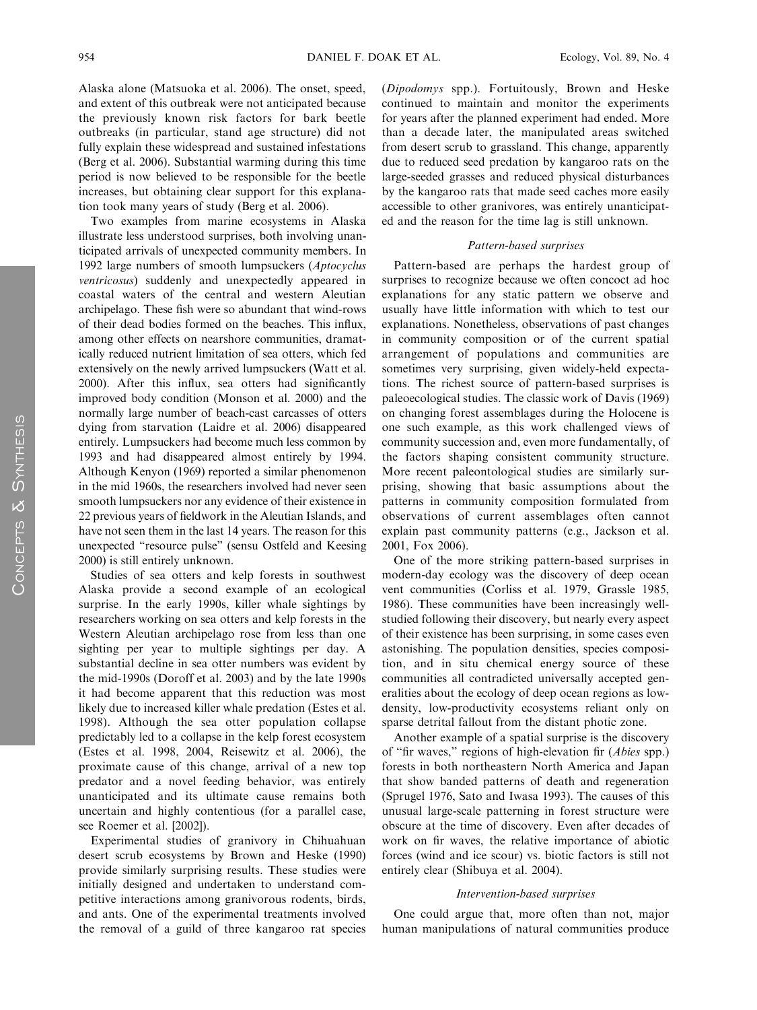Alaska alone (Matsuoka et al. 2006). The onset, speed, and extent of this outbreak were not anticipated because the previously known risk factors for bark beetle outbreaks (in particular, stand age structure) did not fully explain these widespread and sustained infestations (Berg et al. 2006). Substantial warming during this time period is now believed to be responsible for the beetle increases, but obtaining clear support for this explanation took many years of study (Berg et al. 2006).

Two examples from marine ecosystems in Alaska illustrate less understood surprises, both involving unanticipated arrivals of unexpected community members. In 1992 large numbers of smooth lumpsuckers (Aptocyclus ventricosus) suddenly and unexpectedly appeared in coastal waters of the central and western Aleutian archipelago. These fish were so abundant that wind-rows of their dead bodies formed on the beaches. This influx, among other effects on nearshore communities, dramatically reduced nutrient limitation of sea otters, which fed extensively on the newly arrived lumpsuckers (Watt et al. 2000). After this influx, sea otters had significantly improved body condition (Monson et al. 2000) and the normally large number of beach-cast carcasses of otters dying from starvation (Laidre et al. 2006) disappeared entirely. Lumpsuckers had become much less common by 1993 and had disappeared almost entirely by 1994. Although Kenyon (1969) reported a similar phenomenon in the mid 1960s, the researchers involved had never seen smooth lumpsuckers nor any evidence of their existence in 22 previous years of fieldwork in the Aleutian Islands, and have not seen them in the last 14 years. The reason for this unexpected ''resource pulse'' (sensu Ostfeld and Keesing 2000) is still entirely unknown.

Studies of sea otters and kelp forests in southwest Alaska provide a second example of an ecological surprise. In the early 1990s, killer whale sightings by researchers working on sea otters and kelp forests in the Western Aleutian archipelago rose from less than one sighting per year to multiple sightings per day. A substantial decline in sea otter numbers was evident by the mid-1990s (Doroff et al. 2003) and by the late 1990s it had become apparent that this reduction was most likely due to increased killer whale predation (Estes et al. 1998). Although the sea otter population collapse predictably led to a collapse in the kelp forest ecosystem (Estes et al. 1998, 2004, Reisewitz et al. 2006), the proximate cause of this change, arrival of a new top predator and a novel feeding behavior, was entirely unanticipated and its ultimate cause remains both uncertain and highly contentious (for a parallel case, see Roemer et al. [2002]).

Experimental studies of granivory in Chihuahuan desert scrub ecosystems by Brown and Heske (1990) provide similarly surprising results. These studies were initially designed and undertaken to understand competitive interactions among granivorous rodents, birds, and ants. One of the experimental treatments involved the removal of a guild of three kangaroo rat species (Dipodomys spp.). Fortuitously, Brown and Heske continued to maintain and monitor the experiments for years after the planned experiment had ended. More than a decade later, the manipulated areas switched from desert scrub to grassland. This change, apparently due to reduced seed predation by kangaroo rats on the large-seeded grasses and reduced physical disturbances by the kangaroo rats that made seed caches more easily accessible to other granivores, was entirely unanticipated and the reason for the time lag is still unknown.

#### Pattern-based surprises

Pattern-based are perhaps the hardest group of surprises to recognize because we often concoct ad hoc explanations for any static pattern we observe and usually have little information with which to test our explanations. Nonetheless, observations of past changes in community composition or of the current spatial arrangement of populations and communities are sometimes very surprising, given widely-held expectations. The richest source of pattern-based surprises is paleoecological studies. The classic work of Davis (1969) on changing forest assemblages during the Holocene is one such example, as this work challenged views of community succession and, even more fundamentally, of the factors shaping consistent community structure. More recent paleontological studies are similarly surprising, showing that basic assumptions about the patterns in community composition formulated from observations of current assemblages often cannot explain past community patterns (e.g., Jackson et al. 2001, Fox 2006).

One of the more striking pattern-based surprises in modern-day ecology was the discovery of deep ocean vent communities (Corliss et al. 1979, Grassle 1985, 1986). These communities have been increasingly wellstudied following their discovery, but nearly every aspect of their existence has been surprising, in some cases even astonishing. The population densities, species composition, and in situ chemical energy source of these communities all contradicted universally accepted generalities about the ecology of deep ocean regions as lowdensity, low-productivity ecosystems reliant only on sparse detrital fallout from the distant photic zone.

Another example of a spatial surprise is the discovery of ''fir waves,'' regions of high-elevation fir (Abies spp.) forests in both northeastern North America and Japan that show banded patterns of death and regeneration (Sprugel 1976, Sato and Iwasa 1993). The causes of this unusual large-scale patterning in forest structure were obscure at the time of discovery. Even after decades of work on fir waves, the relative importance of abiotic forces (wind and ice scour) vs. biotic factors is still not entirely clear (Shibuya et al. 2004).

#### Intervention-based surprises

One could argue that, more often than not, major human manipulations of natural communities produce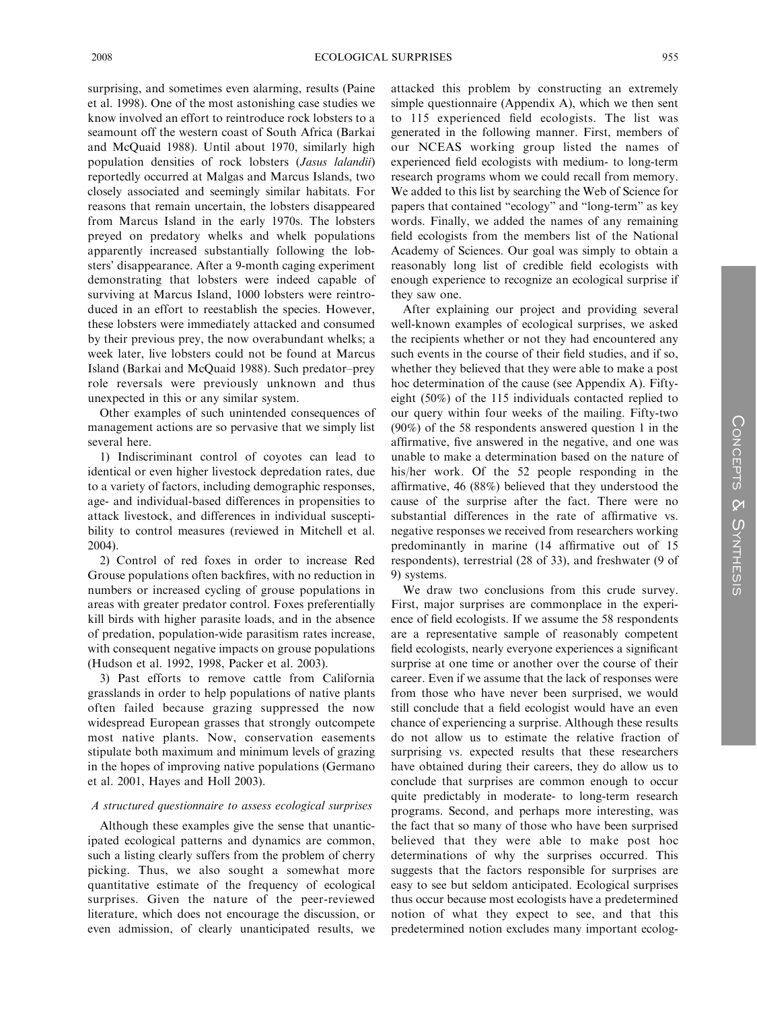surprising, and sometimes even alarming, results (Paine et al. 1998). One of the most astonishing case studies we know involved an effort to reintroduce rock lobsters to a seamount off the western coast of South Africa (Barkai and McQuaid 1988). Until about 1970, similarly high population densities of rock lobsters (Jasus lalandii) reportedly occurred at Malgas and Marcus Islands, two closely associated and seemingly similar habitats. For reasons that remain uncertain, the lobsters disappeared from Marcus Island in the early 1970s. The lobsters preyed on predatory whelks and whelk populations apparently increased substantially following the lobsters' disappearance. After a 9-month caging experiment demonstrating that lobsters were indeed capable of surviving at Marcus Island, 1000 lobsters were reintroduced in an effort to reestablish the species. However, these lobsters were immediately attacked and consumed by their previous prey, the now overabundant whelks; a week later, live lobsters could not be found at Marcus Island (Barkai and McQuaid 1988). Such predator–prey role reversals were previously unknown and thus unexpected in this or any similar system.

Other examples of such unintended consequences of management actions are so pervasive that we simply list several here.

1) Indiscriminant control of coyotes can lead to identical or even higher livestock depredation rates, due to a variety of factors, including demographic responses, age- and individual-based differences in propensities to attack livestock, and differences in individual susceptibility to control measures (reviewed in Mitchell et al. 2004).

2) Control of red foxes in order to increase Red Grouse populations often backfires, with no reduction in numbers or increased cycling of grouse populations in areas with greater predator control. Foxes preferentially kill birds with higher parasite loads, and in the absence of predation, population-wide parasitism rates increase, with consequent negative impacts on grouse populations (Hudson et al. 1992, 1998, Packer et al. 2003).

3) Past efforts to remove cattle from California grasslands in order to help populations of native plants often failed because grazing suppressed the now widespread European grasses that strongly outcompete most native plants. Now, conservation easements stipulate both maximum and minimum levels of grazing in the hopes of improving native populations (Germano et al. 2001, Hayes and Holl 2003).

#### A structured questionnaire to assess ecological surprises

Although these examples give the sense that unanticipated ecological patterns and dynamics are common, such a listing clearly suffers from the problem of cherry picking. Thus, we also sought a somewhat more quantitative estimate of the frequency of ecological surprises. Given the nature of the peer-reviewed literature, which does not encourage the discussion, or even admission, of clearly unanticipated results, we attacked this problem by constructing an extremely simple questionnaire (Appendix A), which we then sent to 115 experienced field ecologists. The list was generated in the following manner. First, members of our NCEAS working group listed the names of experienced field ecologists with medium- to long-term research programs whom we could recall from memory. We added to this list by searching the Web of Science for papers that contained ''ecology'' and ''long-term'' as key words. Finally, we added the names of any remaining field ecologists from the members list of the National Academy of Sciences. Our goal was simply to obtain a reasonably long list of credible field ecologists with enough experience to recognize an ecological surprise if they saw one.

After explaining our project and providing several well-known examples of ecological surprises, we asked the recipients whether or not they had encountered any such events in the course of their field studies, and if so, whether they believed that they were able to make a post hoc determination of the cause (see Appendix A). Fiftyeight (50%) of the 115 individuals contacted replied to our query within four weeks of the mailing. Fifty-two (90%) of the 58 respondents answered question 1 in the affirmative, five answered in the negative, and one was unable to make a determination based on the nature of his/her work. Of the 52 people responding in the affirmative, 46 (88%) believed that they understood the cause of the surprise after the fact. There were no substantial differences in the rate of affirmative vs. negative responses we received from researchers working predominantly in marine (14 affirmative out of 15 respondents), terrestrial (28 of 33), and freshwater (9 of 9) systems.

We draw two conclusions from this crude survey. First, major surprises are commonplace in the experience of field ecologists. If we assume the 58 respondents are a representative sample of reasonably competent field ecologists, nearly everyone experiences a significant surprise at one time or another over the course of their career. Even if we assume that the lack of responses were from those who have never been surprised, we would still conclude that a field ecologist would have an even chance of experiencing a surprise. Although these results do not allow us to estimate the relative fraction of surprising vs. expected results that these researchers have obtained during their careers, they do allow us to conclude that surprises are common enough to occur quite predictably in moderate- to long-term research programs. Second, and perhaps more interesting, was the fact that so many of those who have been surprised believed that they were able to make post hoc determinations of why the surprises occurred. This suggests that the factors responsible for surprises are easy to see but seldom anticipated. Ecological surprises thus occur because most ecologists have a predetermined notion of what they expect to see, and that this predetermined notion excludes many important ecolog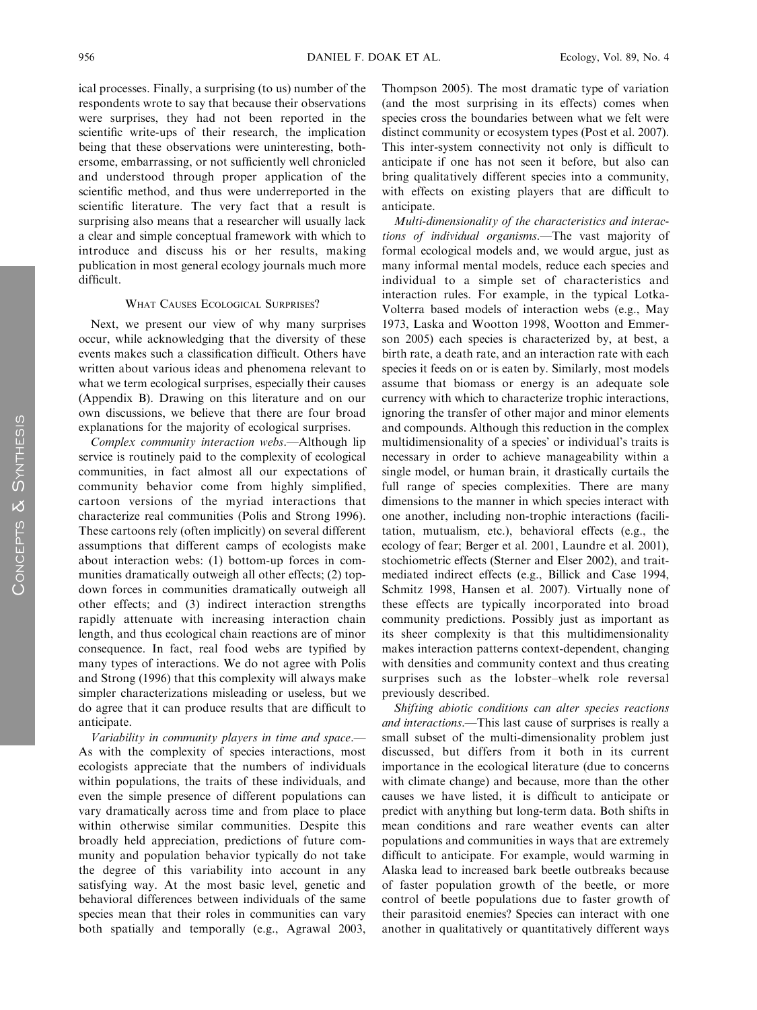ical processes. Finally, a surprising (to us) number of the respondents wrote to say that because their observations were surprises, they had not been reported in the scientific write-ups of their research, the implication being that these observations were uninteresting, bothersome, embarrassing, or not sufficiently well chronicled and understood through proper application of the scientific method, and thus were underreported in the scientific literature. The very fact that a result is surprising also means that a researcher will usually lack a clear and simple conceptual framework with which to introduce and discuss his or her results, making publication in most general ecology journals much more difficult.

#### WHAT CAUSES ECOLOGICAL SURPRISES?

Next, we present our view of why many surprises occur, while acknowledging that the diversity of these events makes such a classification difficult. Others have written about various ideas and phenomena relevant to what we term ecological surprises, especially their causes (Appendix B). Drawing on this literature and on our own discussions, we believe that there are four broad explanations for the majority of ecological surprises.

Complex community interaction webs.—Although lip service is routinely paid to the complexity of ecological communities, in fact almost all our expectations of community behavior come from highly simplified, cartoon versions of the myriad interactions that characterize real communities (Polis and Strong 1996). These cartoons rely (often implicitly) on several different assumptions that different camps of ecologists make about interaction webs: (1) bottom-up forces in communities dramatically outweigh all other effects; (2) topdown forces in communities dramatically outweigh all other effects; and (3) indirect interaction strengths rapidly attenuate with increasing interaction chain length, and thus ecological chain reactions are of minor consequence. In fact, real food webs are typified by many types of interactions. We do not agree with Polis and Strong (1996) that this complexity will always make simpler characterizations misleading or useless, but we do agree that it can produce results that are difficult to anticipate.

Variability in community players in time and space.— As with the complexity of species interactions, most ecologists appreciate that the numbers of individuals within populations, the traits of these individuals, and even the simple presence of different populations can vary dramatically across time and from place to place within otherwise similar communities. Despite this broadly held appreciation, predictions of future community and population behavior typically do not take the degree of this variability into account in any satisfying way. At the most basic level, genetic and behavioral differences between individuals of the same species mean that their roles in communities can vary both spatially and temporally (e.g., Agrawal 2003,

Thompson 2005). The most dramatic type of variation (and the most surprising in its effects) comes when species cross the boundaries between what we felt were distinct community or ecosystem types (Post et al. 2007). This inter-system connectivity not only is difficult to anticipate if one has not seen it before, but also can bring qualitatively different species into a community, with effects on existing players that are difficult to anticipate.

Multi-dimensionality of the characteristics and interactions of individual organisms.—The vast majority of formal ecological models and, we would argue, just as many informal mental models, reduce each species and individual to a simple set of characteristics and interaction rules. For example, in the typical Lotka-Volterra based models of interaction webs (e.g., May 1973, Laska and Wootton 1998, Wootton and Emmerson 2005) each species is characterized by, at best, a birth rate, a death rate, and an interaction rate with each species it feeds on or is eaten by. Similarly, most models assume that biomass or energy is an adequate sole currency with which to characterize trophic interactions, ignoring the transfer of other major and minor elements and compounds. Although this reduction in the complex multidimensionality of a species' or individual's traits is necessary in order to achieve manageability within a single model, or human brain, it drastically curtails the full range of species complexities. There are many dimensions to the manner in which species interact with one another, including non-trophic interactions (facilitation, mutualism, etc.), behavioral effects (e.g., the ecology of fear; Berger et al. 2001, Laundre et al. 2001), stochiometric effects (Sterner and Elser 2002), and traitmediated indirect effects (e.g., Billick and Case 1994, Schmitz 1998, Hansen et al. 2007). Virtually none of these effects are typically incorporated into broad community predictions. Possibly just as important as its sheer complexity is that this multidimensionality makes interaction patterns context-dependent, changing with densities and community context and thus creating surprises such as the lobster–whelk role reversal previously described.

Shifting abiotic conditions can alter species reactions and interactions.—This last cause of surprises is really a small subset of the multi-dimensionality problem just discussed, but differs from it both in its current importance in the ecological literature (due to concerns with climate change) and because, more than the other causes we have listed, it is difficult to anticipate or predict with anything but long-term data. Both shifts in mean conditions and rare weather events can alter populations and communities in ways that are extremely difficult to anticipate. For example, would warming in Alaska lead to increased bark beetle outbreaks because of faster population growth of the beetle, or more control of beetle populations due to faster growth of their parasitoid enemies? Species can interact with one another in qualitatively or quantitatively different ways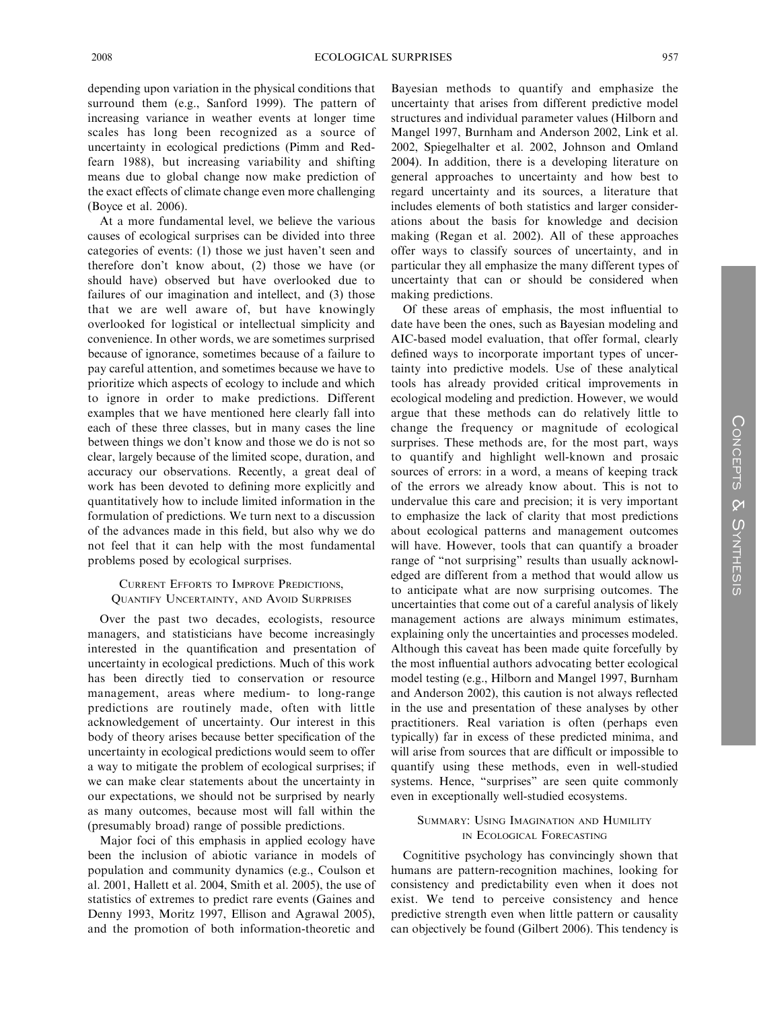depending upon variation in the physical conditions that surround them (e.g., Sanford 1999). The pattern of increasing variance in weather events at longer time scales has long been recognized as a source of uncertainty in ecological predictions (Pimm and Redfearn 1988), but increasing variability and shifting means due to global change now make prediction of the exact effects of climate change even more challenging (Boyce et al. 2006).

At a more fundamental level, we believe the various causes of ecological surprises can be divided into three categories of events: (1) those we just haven't seen and therefore don't know about, (2) those we have (or should have) observed but have overlooked due to failures of our imagination and intellect, and (3) those that we are well aware of, but have knowingly overlooked for logistical or intellectual simplicity and convenience. In other words, we are sometimes surprised because of ignorance, sometimes because of a failure to pay careful attention, and sometimes because we have to prioritize which aspects of ecology to include and which to ignore in order to make predictions. Different examples that we have mentioned here clearly fall into each of these three classes, but in many cases the line between things we don't know and those we do is not so clear, largely because of the limited scope, duration, and accuracy our observations. Recently, a great deal of work has been devoted to defining more explicitly and quantitatively how to include limited information in the formulation of predictions. We turn next to a discussion of the advances made in this field, but also why we do not feel that it can help with the most fundamental problems posed by ecological surprises.

#### CURRENT EFFORTS TO IMPROVE PREDICTIONS, QUANTIFY UNCERTAINTY, AND AVOID SURPRISES

Over the past two decades, ecologists, resource managers, and statisticians have become increasingly interested in the quantification and presentation of uncertainty in ecological predictions. Much of this work has been directly tied to conservation or resource management, areas where medium- to long-range predictions are routinely made, often with little acknowledgement of uncertainty. Our interest in this body of theory arises because better specification of the uncertainty in ecological predictions would seem to offer a way to mitigate the problem of ecological surprises; if we can make clear statements about the uncertainty in our expectations, we should not be surprised by nearly as many outcomes, because most will fall within the (presumably broad) range of possible predictions.

Major foci of this emphasis in applied ecology have been the inclusion of abiotic variance in models of population and community dynamics (e.g., Coulson et al. 2001, Hallett et al. 2004, Smith et al. 2005), the use of statistics of extremes to predict rare events (Gaines and Denny 1993, Moritz 1997, Ellison and Agrawal 2005), and the promotion of both information-theoretic and Bayesian methods to quantify and emphasize the uncertainty that arises from different predictive model structures and individual parameter values (Hilborn and Mangel 1997, Burnham and Anderson 2002, Link et al. 2002, Spiegelhalter et al. 2002, Johnson and Omland 2004). In addition, there is a developing literature on general approaches to uncertainty and how best to regard uncertainty and its sources, a literature that includes elements of both statistics and larger considerations about the basis for knowledge and decision making (Regan et al. 2002). All of these approaches offer ways to classify sources of uncertainty, and in particular they all emphasize the many different types of uncertainty that can or should be considered when making predictions.

Of these areas of emphasis, the most influential to date have been the ones, such as Bayesian modeling and AIC-based model evaluation, that offer formal, clearly defined ways to incorporate important types of uncertainty into predictive models. Use of these analytical tools has already provided critical improvements in ecological modeling and prediction. However, we would argue that these methods can do relatively little to change the frequency or magnitude of ecological surprises. These methods are, for the most part, ways to quantify and highlight well-known and prosaic sources of errors: in a word, a means of keeping track of the errors we already know about. This is not to undervalue this care and precision; it is very important to emphasize the lack of clarity that most predictions about ecological patterns and management outcomes will have. However, tools that can quantify a broader range of ''not surprising'' results than usually acknowledged are different from a method that would allow us to anticipate what are now surprising outcomes. The uncertainties that come out of a careful analysis of likely management actions are always minimum estimates, explaining only the uncertainties and processes modeled. Although this caveat has been made quite forcefully by the most influential authors advocating better ecological model testing (e.g., Hilborn and Mangel 1997, Burnham and Anderson 2002), this caution is not always reflected in the use and presentation of these analyses by other practitioners. Real variation is often (perhaps even typically) far in excess of these predicted minima, and will arise from sources that are difficult or impossible to quantify using these methods, even in well-studied systems. Hence, ''surprises'' are seen quite commonly even in exceptionally well-studied ecosystems.

#### SUMMARY: USING IMAGINATION AND HUMILITY IN ECOLOGICAL FORECASTING

Cognititive psychology has convincingly shown that humans are pattern-recognition machines, looking for consistency and predictability even when it does not exist. We tend to perceive consistency and hence predictive strength even when little pattern or causality can objectively be found (Gilbert 2006). This tendency is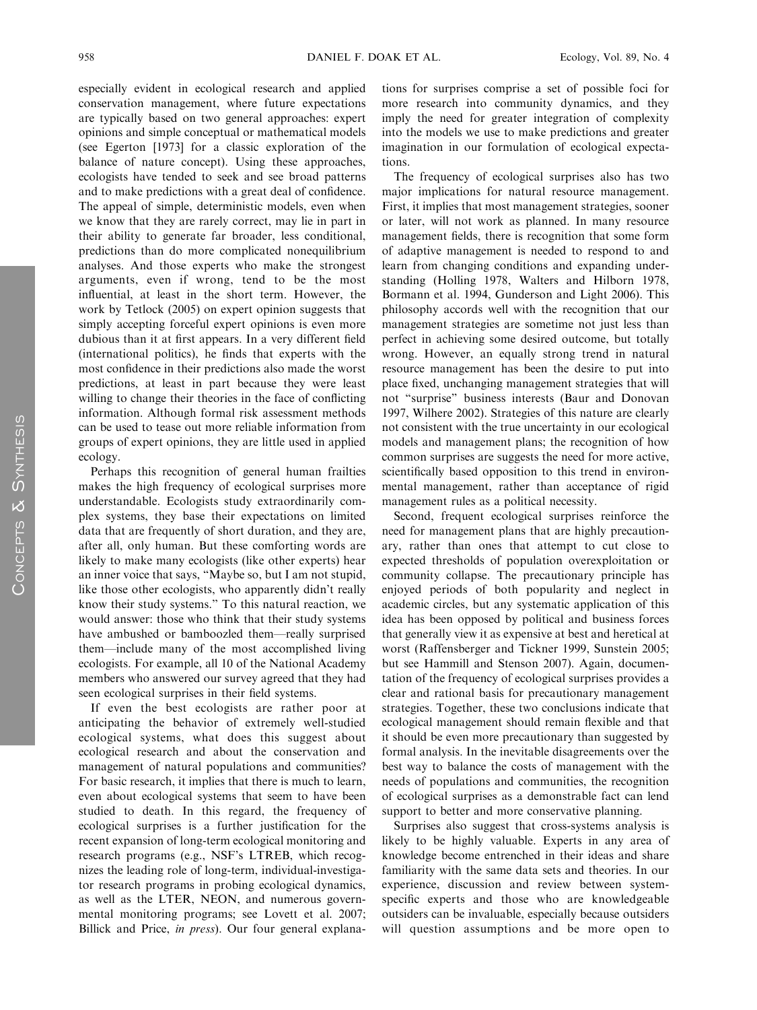especially evident in ecological research and applied conservation management, where future expectations are typically based on two general approaches: expert opinions and simple conceptual or mathematical models (see Egerton [1973] for a classic exploration of the balance of nature concept). Using these approaches, ecologists have tended to seek and see broad patterns and to make predictions with a great deal of confidence. The appeal of simple, deterministic models, even when we know that they are rarely correct, may lie in part in their ability to generate far broader, less conditional, predictions than do more complicated nonequilibrium analyses. And those experts who make the strongest arguments, even if wrong, tend to be the most influential, at least in the short term. However, the work by Tetlock (2005) on expert opinion suggests that simply accepting forceful expert opinions is even more dubious than it at first appears. In a very different field (international politics), he finds that experts with the most confidence in their predictions also made the worst predictions, at least in part because they were least willing to change their theories in the face of conflicting information. Although formal risk assessment methods can be used to tease out more reliable information from groups of expert opinions, they are little used in applied ecology.

Perhaps this recognition of general human frailties makes the high frequency of ecological surprises more understandable. Ecologists study extraordinarily complex systems, they base their expectations on limited data that are frequently of short duration, and they are, after all, only human. But these comforting words are likely to make many ecologists (like other experts) hear an inner voice that says, ''Maybe so, but I am not stupid, like those other ecologists, who apparently didn't really know their study systems.'' To this natural reaction, we would answer: those who think that their study systems have ambushed or bamboozled them—really surprised them—include many of the most accomplished living ecologists. For example, all 10 of the National Academy members who answered our survey agreed that they had seen ecological surprises in their field systems.

If even the best ecologists are rather poor at anticipating the behavior of extremely well-studied ecological systems, what does this suggest about ecological research and about the conservation and management of natural populations and communities? For basic research, it implies that there is much to learn, even about ecological systems that seem to have been studied to death. In this regard, the frequency of ecological surprises is a further justification for the recent expansion of long-term ecological monitoring and research programs (e.g., NSF's LTREB, which recognizes the leading role of long-term, individual-investigator research programs in probing ecological dynamics, as well as the LTER, NEON, and numerous governmental monitoring programs; see Lovett et al. 2007; Billick and Price, *in press*). Our four general explanations for surprises comprise a set of possible foci for more research into community dynamics, and they imply the need for greater integration of complexity into the models we use to make predictions and greater imagination in our formulation of ecological expectations.

The frequency of ecological surprises also has two major implications for natural resource management. First, it implies that most management strategies, sooner or later, will not work as planned. In many resource management fields, there is recognition that some form of adaptive management is needed to respond to and learn from changing conditions and expanding understanding (Holling 1978, Walters and Hilborn 1978, Bormann et al. 1994, Gunderson and Light 2006). This philosophy accords well with the recognition that our management strategies are sometime not just less than perfect in achieving some desired outcome, but totally wrong. However, an equally strong trend in natural resource management has been the desire to put into place fixed, unchanging management strategies that will not ''surprise'' business interests (Baur and Donovan 1997, Wilhere 2002). Strategies of this nature are clearly not consistent with the true uncertainty in our ecological models and management plans; the recognition of how common surprises are suggests the need for more active, scientifically based opposition to this trend in environmental management, rather than acceptance of rigid management rules as a political necessity.

Second, frequent ecological surprises reinforce the need for management plans that are highly precautionary, rather than ones that attempt to cut close to expected thresholds of population overexploitation or community collapse. The precautionary principle has enjoyed periods of both popularity and neglect in academic circles, but any systematic application of this idea has been opposed by political and business forces that generally view it as expensive at best and heretical at worst (Raffensberger and Tickner 1999, Sunstein 2005; but see Hammill and Stenson 2007). Again, documentation of the frequency of ecological surprises provides a clear and rational basis for precautionary management strategies. Together, these two conclusions indicate that ecological management should remain flexible and that it should be even more precautionary than suggested by formal analysis. In the inevitable disagreements over the best way to balance the costs of management with the needs of populations and communities, the recognition of ecological surprises as a demonstrable fact can lend support to better and more conservative planning.

Surprises also suggest that cross-systems analysis is likely to be highly valuable. Experts in any area of knowledge become entrenched in their ideas and share familiarity with the same data sets and theories. In our experience, discussion and review between systemspecific experts and those who are knowledgeable outsiders can be invaluable, especially because outsiders will question assumptions and be more open to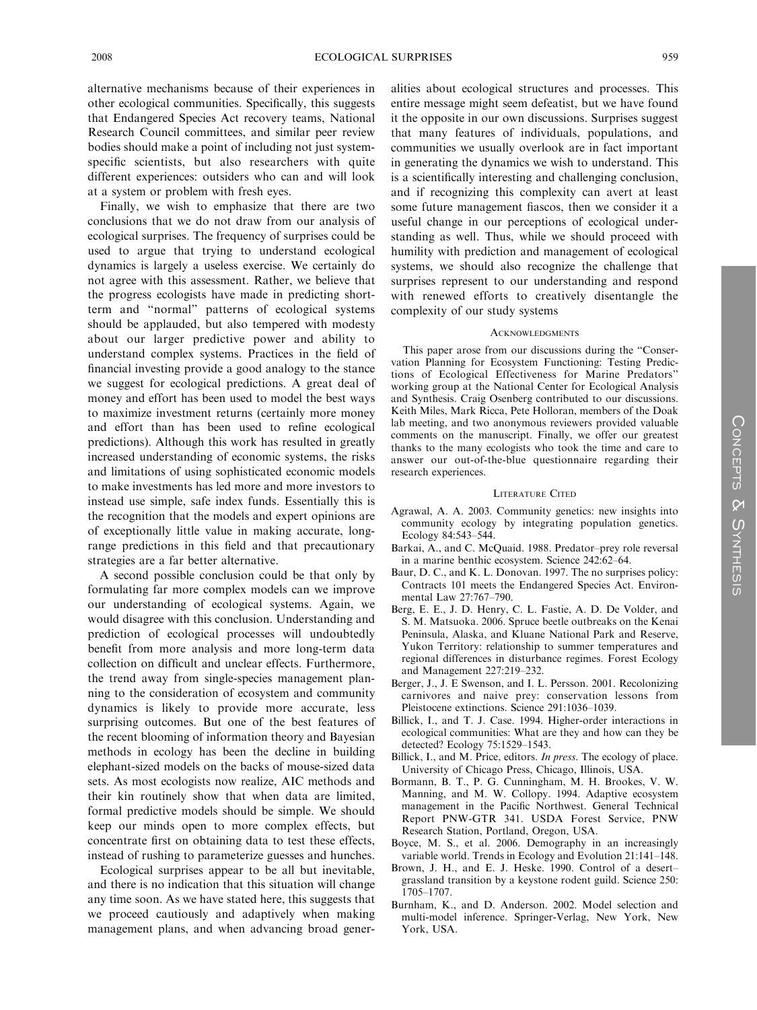alternative mechanisms because of their experiences in other ecological communities. Specifically, this suggests that Endangered Species Act recovery teams, National Research Council committees, and similar peer review bodies should make a point of including not just systemspecific scientists, but also researchers with quite different experiences: outsiders who can and will look at a system or problem with fresh eyes.

Finally, we wish to emphasize that there are two conclusions that we do not draw from our analysis of ecological surprises. The frequency of surprises could be used to argue that trying to understand ecological dynamics is largely a useless exercise. We certainly do not agree with this assessment. Rather, we believe that the progress ecologists have made in predicting shortterm and ''normal'' patterns of ecological systems should be applauded, but also tempered with modesty about our larger predictive power and ability to understand complex systems. Practices in the field of financial investing provide a good analogy to the stance we suggest for ecological predictions. A great deal of money and effort has been used to model the best ways to maximize investment returns (certainly more money and effort than has been used to refine ecological predictions). Although this work has resulted in greatly increased understanding of economic systems, the risks and limitations of using sophisticated economic models to make investments has led more and more investors to instead use simple, safe index funds. Essentially this is the recognition that the models and expert opinions are of exceptionally little value in making accurate, longrange predictions in this field and that precautionary strategies are a far better alternative.

A second possible conclusion could be that only by formulating far more complex models can we improve our understanding of ecological systems. Again, we would disagree with this conclusion. Understanding and prediction of ecological processes will undoubtedly benefit from more analysis and more long-term data collection on difficult and unclear effects. Furthermore, the trend away from single-species management planning to the consideration of ecosystem and community dynamics is likely to provide more accurate, less surprising outcomes. But one of the best features of the recent blooming of information theory and Bayesian methods in ecology has been the decline in building elephant-sized models on the backs of mouse-sized data sets. As most ecologists now realize, AIC methods and their kin routinely show that when data are limited, formal predictive models should be simple. We should keep our minds open to more complex effects, but concentrate first on obtaining data to test these effects, instead of rushing to parameterize guesses and hunches.

Ecological surprises appear to be all but inevitable, and there is no indication that this situation will change any time soon. As we have stated here, this suggests that we proceed cautiously and adaptively when making management plans, and when advancing broad generalities about ecological structures and processes. This entire message might seem defeatist, but we have found it the opposite in our own discussions. Surprises suggest that many features of individuals, populations, and communities we usually overlook are in fact important in generating the dynamics we wish to understand. This is a scientifically interesting and challenging conclusion, and if recognizing this complexity can avert at least some future management fiascos, then we consider it a useful change in our perceptions of ecological understanding as well. Thus, while we should proceed with humility with prediction and management of ecological systems, we should also recognize the challenge that surprises represent to our understanding and respond with renewed efforts to creatively disentangle the complexity of our study systems

#### **ACKNOWLEDGMENTS**

This paper arose from our discussions during the ''Conservation Planning for Ecosystem Functioning: Testing Predictions of Ecological Effectiveness for Marine Predators'' working group at the National Center for Ecological Analysis and Synthesis. Craig Osenberg contributed to our discussions. Keith Miles, Mark Ricca, Pete Holloran, members of the Doak lab meeting, and two anonymous reviewers provided valuable comments on the manuscript. Finally, we offer our greatest thanks to the many ecologists who took the time and care to answer our out-of-the-blue questionnaire regarding their research experiences.

#### LITERATURE CITED

- Agrawal, A. A. 2003. Community genetics: new insights into community ecology by integrating population genetics. Ecology 84:543–544.
- Barkai, A., and C. McQuaid. 1988. Predator–prey role reversal in a marine benthic ecosystem. Science 242:62–64.
- Baur, D. C., and K. L. Donovan. 1997. The no surprises policy: Contracts 101 meets the Endangered Species Act. Environmental Law 27:767–790.
- Berg, E. E., J. D. Henry, C. L. Fastie, A. D. De Volder, and S. M. Matsuoka. 2006. Spruce beetle outbreaks on the Kenai Peninsula, Alaska, and Kluane National Park and Reserve, Yukon Territory: relationship to summer temperatures and regional differences in disturbance regimes. Forest Ecology and Management 227:219–232.
- Berger, J., J. E Swenson, and I. L. Persson. 2001. Recolonizing carnivores and naive prey: conservation lessons from Pleistocene extinctions. Science 291:1036–1039.
- Billick, I., and T. J. Case. 1994. Higher-order interactions in ecological communities: What are they and how can they be detected? Ecology 75:1529–1543.
- Billick, I., and M. Price, editors. In press. The ecology of place. University of Chicago Press, Chicago, Illinois, USA.
- Bormann, B. T., P. G. Cunningham, M. H. Brookes, V. W. Manning, and M. W. Collopy. 1994. Adaptive ecosystem management in the Pacific Northwest. General Technical Report PNW-GTR 341. USDA Forest Service, PNW Research Station, Portland, Oregon, USA.
- Boyce, M. S., et al. 2006. Demography in an increasingly variable world. Trends in Ecology and Evolution 21:141–148.
- Brown, J. H., and E. J. Heske. 1990. Control of a desert– grassland transition by a keystone rodent guild. Science 250: 1705–1707.
- Burnham, K., and D. Anderson. 2002. Model selection and multi-model inference. Springer-Verlag, New York, New York, USA.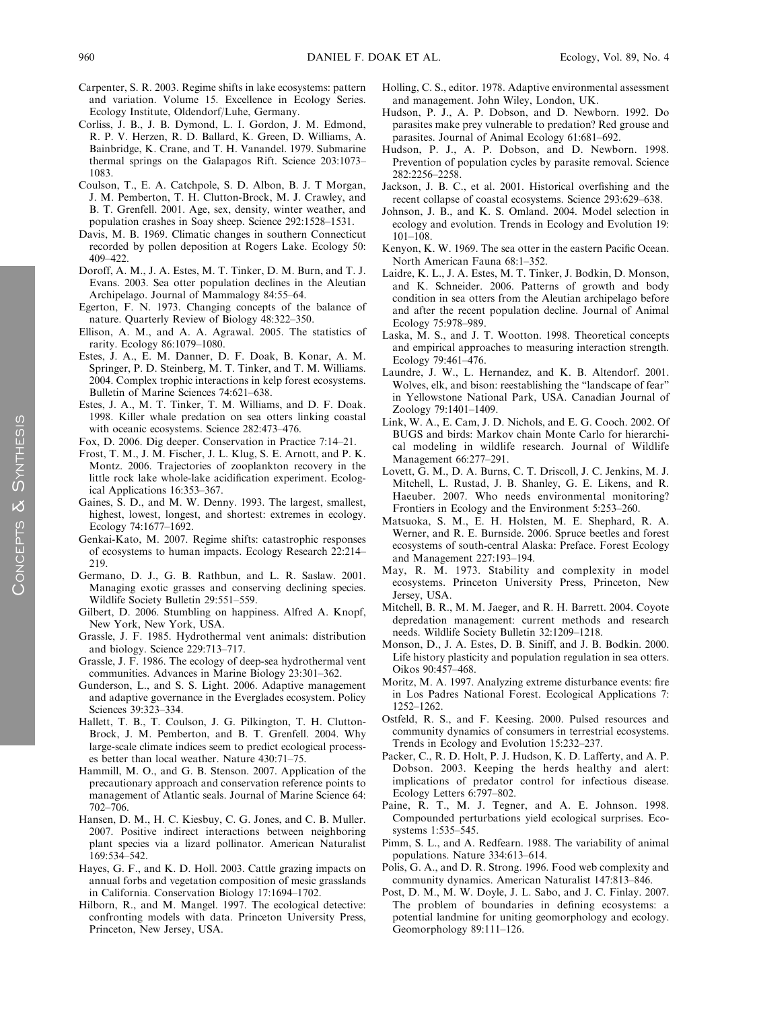- Carpenter, S. R. 2003. Regime shifts in lake ecosystems: pattern and variation. Volume 15. Excellence in Ecology Series. Ecology Institute, Oldendorf/Luhe, Germany.
- Corliss, J. B., J. B. Dymond, L. I. Gordon, J. M. Edmond, R. P. V. Herzen, R. D. Ballard, K. Green, D. Williams, A. Bainbridge, K. Crane, and T. H. Vanandel. 1979. Submarine thermal springs on the Galapagos Rift. Science 203:1073– 1083.
- Coulson, T., E. A. Catchpole, S. D. Albon, B. J. T Morgan, J. M. Pemberton, T. H. Clutton-Brock, M. J. Crawley, and B. T. Grenfell. 2001. Age, sex, density, winter weather, and population crashes in Soay sheep. Science 292:1528–1531.
- Davis, M. B. 1969. Climatic changes in southern Connecticut recorded by pollen deposition at Rogers Lake. Ecology 50: 409–422.
- Doroff, A. M., J. A. Estes, M. T. Tinker, D. M. Burn, and T. J. Evans. 2003. Sea otter population declines in the Aleutian Archipelago. Journal of Mammalogy 84:55–64.
- Egerton, F. N. 1973. Changing concepts of the balance of nature. Quarterly Review of Biology 48:322–350.
- Ellison, A. M., and A. A. Agrawal. 2005. The statistics of rarity. Ecology 86:1079–1080.
- Estes, J. A., E. M. Danner, D. F. Doak, B. Konar, A. M. Springer, P. D. Steinberg, M. T. Tinker, and T. M. Williams. 2004. Complex trophic interactions in kelp forest ecosystems. Bulletin of Marine Sciences 74:621–638.
- Estes, J. A., M. T. Tinker, T. M. Williams, and D. F. Doak. 1998. Killer whale predation on sea otters linking coastal with oceanic ecosystems. Science 282:473–476.
- Fox, D. 2006. Dig deeper. Conservation in Practice 7:14–21.
- Frost, T. M., J. M. Fischer, J. L. Klug, S. E. Arnott, and P. K. Montz. 2006. Trajectories of zooplankton recovery in the little rock lake whole-lake acidification experiment. Ecological Applications 16:353–367.
- Gaines, S. D., and M. W. Denny. 1993. The largest, smallest, highest, lowest, longest, and shortest: extremes in ecology. Ecology 74:1677–1692.
- Genkai-Kato, M. 2007. Regime shifts: catastrophic responses of ecosystems to human impacts. Ecology Research 22:214– 219.
- Germano, D. J., G. B. Rathbun, and L. R. Saslaw. 2001. Managing exotic grasses and conserving declining species. Wildlife Society Bulletin 29:551–559.
- Gilbert, D. 2006. Stumbling on happiness. Alfred A. Knopf, New York, New York, USA.
- Grassle, J. F. 1985. Hydrothermal vent animals: distribution and biology. Science 229:713–717.
- Grassle, J. F. 1986. The ecology of deep-sea hydrothermal vent communities. Advances in Marine Biology 23:301–362.
- Gunderson, L., and S. S. Light. 2006. Adaptive management and adaptive governance in the Everglades ecosystem. Policy Sciences 39:323–334.
- Hallett, T. B., T. Coulson, J. G. Pilkington, T. H. Clutton-Brock, J. M. Pemberton, and B. T. Grenfell. 2004. Why large-scale climate indices seem to predict ecological processes better than local weather. Nature 430:71–75.
- Hammill, M. O., and G. B. Stenson. 2007. Application of the precautionary approach and conservation reference points to management of Atlantic seals. Journal of Marine Science 64: 702–706.
- Hansen, D. M., H. C. Kiesbuy, C. G. Jones, and C. B. Muller. 2007. Positive indirect interactions between neighboring plant species via a lizard pollinator. American Naturalist 169:534–542.
- Hayes, G. F., and K. D. Holl. 2003. Cattle grazing impacts on annual forbs and vegetation composition of mesic grasslands in California. Conservation Biology 17:1694–1702.
- Hilborn, R., and M. Mangel. 1997. The ecological detective: confronting models with data. Princeton University Press, Princeton, New Jersey, USA.
- Holling, C. S., editor. 1978. Adaptive environmental assessment and management. John Wiley, London, UK.
- Hudson, P. J., A. P. Dobson, and D. Newborn. 1992. Do parasites make prey vulnerable to predation? Red grouse and parasites. Journal of Animal Ecology 61:681–692.
- Hudson, P. J., A. P. Dobson, and D. Newborn. 1998. Prevention of population cycles by parasite removal. Science 282:2256–2258.
- Jackson, J. B. C., et al. 2001. Historical overfishing and the recent collapse of coastal ecosystems. Science 293:629–638.
- Johnson, J. B., and K. S. Omland. 2004. Model selection in ecology and evolution. Trends in Ecology and Evolution 19: 101–108.
- Kenyon, K. W. 1969. The sea otter in the eastern Pacific Ocean. North American Fauna 68:1–352.
- Laidre, K. L., J. A. Estes, M. T. Tinker, J. Bodkin, D. Monson, and K. Schneider. 2006. Patterns of growth and body condition in sea otters from the Aleutian archipelago before and after the recent population decline. Journal of Animal Ecology 75:978–989.
- Laska, M. S., and J. T. Wootton. 1998. Theoretical concepts and empirical approaches to measuring interaction strength. Ecology 79:461–476.
- Laundre, J. W., L. Hernandez, and K. B. Altendorf. 2001. Wolves, elk, and bison: reestablishing the ''landscape of fear'' in Yellowstone National Park, USA. Canadian Journal of Zoology 79:1401–1409.
- Link, W. A., E. Cam, J. D. Nichols, and E. G. Cooch. 2002. Of BUGS and birds: Markov chain Monte Carlo for hierarchical modeling in wildlife research. Journal of Wildlife Management 66:277–291.
- Lovett, G. M., D. A. Burns, C. T. Driscoll, J. C. Jenkins, M. J. Mitchell, L. Rustad, J. B. Shanley, G. E. Likens, and R. Haeuber. 2007. Who needs environmental monitoring? Frontiers in Ecology and the Environment 5:253–260.
- Matsuoka, S. M., E. H. Holsten, M. E. Shephard, R. A. Werner, and R. E. Burnside. 2006. Spruce beetles and forest ecosystems of south-central Alaska: Preface. Forest Ecology and Management 227:193–194.
- May, R. M. 1973. Stability and complexity in model ecosystems. Princeton University Press, Princeton, New Jersey, USA.
- Mitchell, B. R., M. M. Jaeger, and R. H. Barrett. 2004. Coyote depredation management: current methods and research needs. Wildlife Society Bulletin 32:1209–1218.
- Monson, D., J. A. Estes, D. B. Siniff, and J. B. Bodkin. 2000. Life history plasticity and population regulation in sea otters. Oikos 90:457–468.
- Moritz, M. A. 1997. Analyzing extreme disturbance events: fire in Los Padres National Forest. Ecological Applications 7: 1252–1262.
- Ostfeld, R. S., and F. Keesing. 2000. Pulsed resources and community dynamics of consumers in terrestrial ecosystems. Trends in Ecology and Evolution 15:232–237.
- Packer, C., R. D. Holt, P. J. Hudson, K. D. Lafferty, and A. P. Dobson. 2003. Keeping the herds healthy and alert: implications of predator control for infectious disease. Ecology Letters 6:797–802.
- Paine, R. T., M. J. Tegner, and A. E. Johnson. 1998. Compounded perturbations yield ecological surprises. Ecosystems 1:535–545.
- Pimm, S. L., and A. Redfearn. 1988. The variability of animal populations. Nature 334:613–614.
- Polis, G. A., and D. R. Strong. 1996. Food web complexity and community dynamics. American Naturalist 147:813–846.
- Post, D. M., M. W. Doyle, J. L. Sabo, and J. C. Finlay. 2007. The problem of boundaries in defining ecosystems: a potential landmine for uniting geomorphology and ecology. Geomorphology 89:111–126.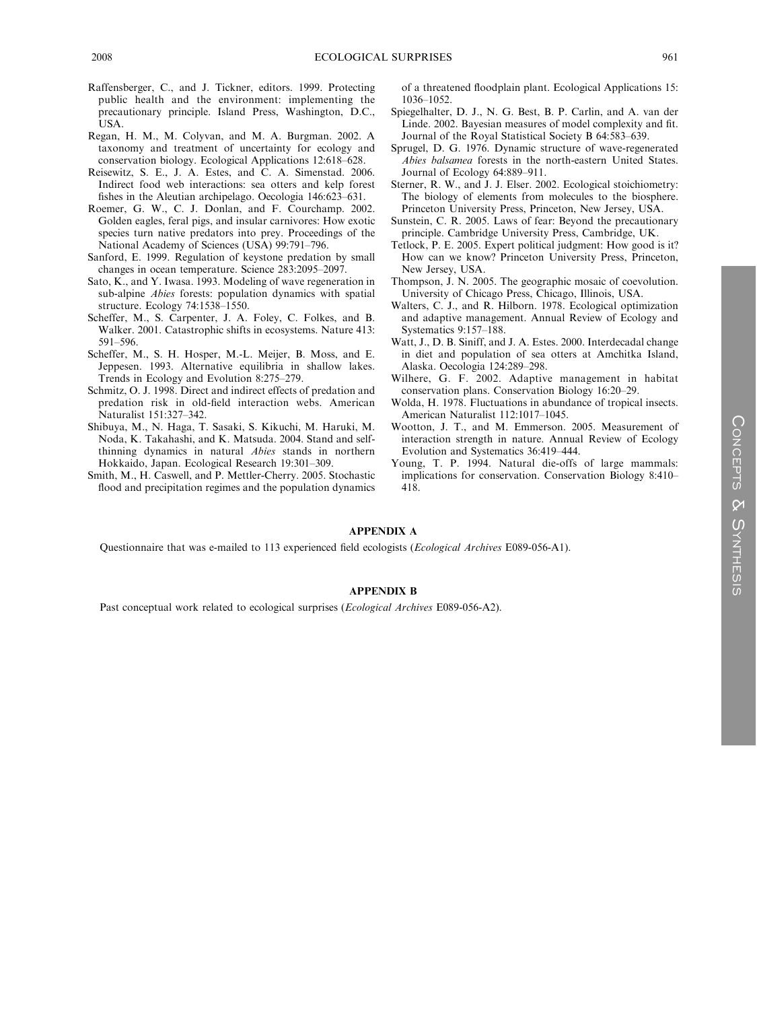- Raffensberger, C., and J. Tickner, editors. 1999. Protecting public health and the environment: implementing the precautionary principle. Island Press, Washington, D.C., USA.
- Regan, H. M., M. Colyvan, and M. A. Burgman. 2002. A taxonomy and treatment of uncertainty for ecology and conservation biology. Ecological Applications 12:618–628.
- Reisewitz, S. E., J. A. Estes, and C. A. Simenstad. 2006. Indirect food web interactions: sea otters and kelp forest fishes in the Aleutian archipelago. Oecologia 146:623–631.
- Roemer, G. W., C. J. Donlan, and F. Courchamp. 2002. Golden eagles, feral pigs, and insular carnivores: How exotic species turn native predators into prey. Proceedings of the National Academy of Sciences (USA) 99:791–796.
- Sanford, E. 1999. Regulation of keystone predation by small changes in ocean temperature. Science 283:2095–2097.
- Sato, K., and Y. Iwasa. 1993. Modeling of wave regeneration in sub-alpine Abies forests: population dynamics with spatial structure. Ecology 74:1538–1550.
- Scheffer, M., S. Carpenter, J. A. Foley, C. Folkes, and B. Walker. 2001. Catastrophic shifts in ecosystems. Nature 413: 591–596.
- Scheffer, M., S. H. Hosper, M.-L. Meijer, B. Moss, and E. Jeppesen. 1993. Alternative equilibria in shallow lakes. Trends in Ecology and Evolution 8:275–279.
- Schmitz, O. J. 1998. Direct and indirect effects of predation and predation risk in old-field interaction webs. American Naturalist 151:327–342.
- Shibuya, M., N. Haga, T. Sasaki, S. Kikuchi, M. Haruki, M. Noda, K. Takahashi, and K. Matsuda. 2004. Stand and selfthinning dynamics in natural Abies stands in northern Hokkaido, Japan. Ecological Research 19:301–309.
- Smith, M., H. Caswell, and P. Mettler-Cherry. 2005. Stochastic flood and precipitation regimes and the population dynamics

of a threatened floodplain plant. Ecological Applications 15: 1036–1052.

- Spiegelhalter, D. J., N. G. Best, B. P. Carlin, and A. van der Linde. 2002. Bayesian measures of model complexity and fit. Journal of the Royal Statistical Society B 64:583–639.
- Sprugel, D. G. 1976. Dynamic structure of wave-regenerated Abies balsamea forests in the north-eastern United States. Journal of Ecology 64:889–911.
- Sterner, R. W., and J. J. Elser. 2002. Ecological stoichiometry: The biology of elements from molecules to the biosphere. Princeton University Press, Princeton, New Jersey, USA.
- Sunstein, C. R. 2005. Laws of fear: Beyond the precautionary principle. Cambridge University Press, Cambridge, UK.
- Tetlock, P. E. 2005. Expert political judgment: How good is it? How can we know? Princeton University Press, Princeton, New Jersey, USA.
- Thompson, J. N. 2005. The geographic mosaic of coevolution. University of Chicago Press, Chicago, Illinois, USA.
- Walters, C. J., and R. Hilborn. 1978. Ecological optimization and adaptive management. Annual Review of Ecology and Systematics 9:157–188.
- Watt, J., D. B. Siniff, and J. A. Estes. 2000. Interdecadal change in diet and population of sea otters at Amchitka Island, Alaska. Oecologia 124:289–298.
- Wilhere, G. F. 2002. Adaptive management in habitat conservation plans. Conservation Biology 16:20–29.
- Wolda, H. 1978. Fluctuations in abundance of tropical insects. American Naturalist 112:1017–1045.
- Wootton, J. T., and M. Emmerson. 2005. Measurement of interaction strength in nature. Annual Review of Ecology Evolution and Systematics 36:419–444.
- Young, T. P. 1994. Natural die-offs of large mammals: implications for conservation. Conservation Biology 8:410– 418.

#### APPENDIX A

Questionnaire that was e-mailed to 113 experienced field ecologists (Ecological Archives E089-056-A1).

#### APPENDIX B

Past conceptual work related to ecological surprises (Ecological Archives E089-056-A2).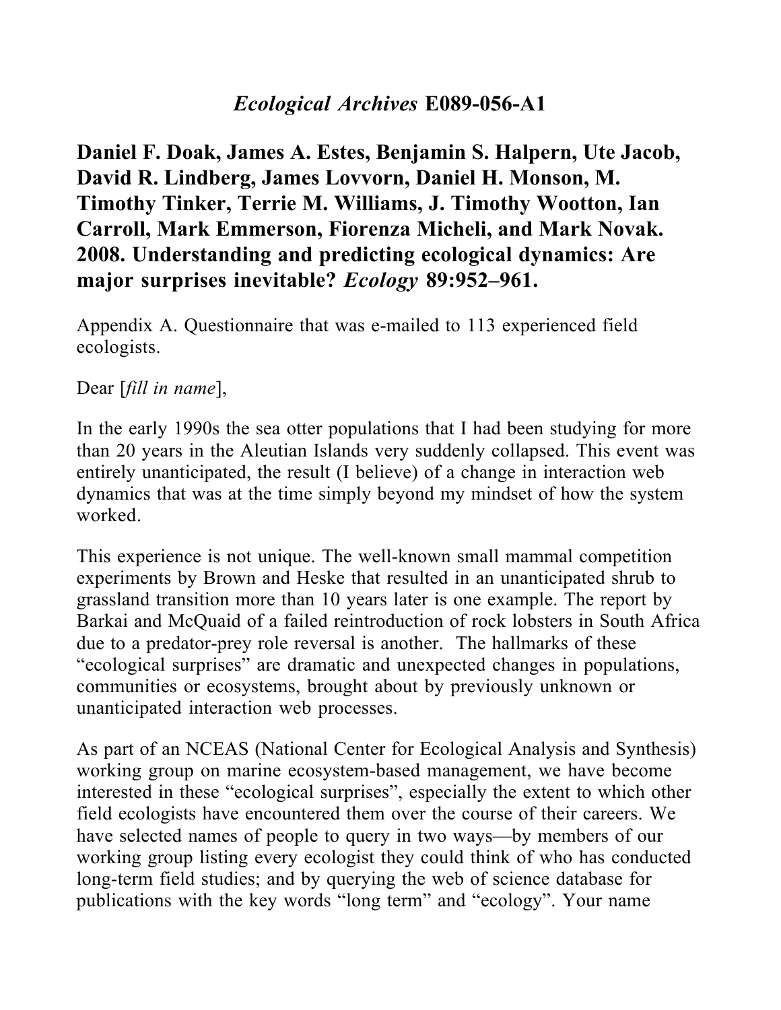# *Ecological Archives* **E089-056-A1**

**Daniel F. Doak, James A. Estes, Benjamin S. Halpern, Ute Jacob, David R. Lindberg, James Lovvorn, Daniel H. Monson, M. Timothy Tinker, Terrie M. Williams, J. Timothy Wootton, Ian Carroll, Mark Emmerson, Fiorenza Micheli, and Mark Novak. 2008. Understanding and predicting ecological dynamics: Are major surprises inevitable?** *Ecology* **89:952–961.**

Appendix A. Questionnaire that was e-mailed to 113 experienced field ecologists.

# Dear [*fill in name*],

In the early 1990s the sea otter populations that I had been studying for more than 20 years in the Aleutian Islands very suddenly collapsed. This event was entirely unanticipated, the result (I believe) of a change in interaction web dynamics that was at the time simply beyond my mindset of how the system worked.

This experience is not unique. The well-known small mammal competition experiments by Brown and Heske that resulted in an unanticipated shrub to grassland transition more than 10 years later is one example. The report by Barkai and McQuaid of a failed reintroduction of rock lobsters in South Africa due to a predator-prey role reversal is another. The hallmarks of these "ecological surprises" are dramatic and unexpected changes in populations, communities or ecosystems, brought about by previously unknown or unanticipated interaction web processes.

As part of an NCEAS (National Center for Ecological Analysis and Synthesis) working group on marine ecosystem-based management, we have become interested in these "ecological surprises", especially the extent to which other field ecologists have encountered them over the course of their careers. We have selected names of people to query in two ways—by members of our working group listing every ecologist they could think of who has conducted long-term field studies; and by querying the web of science database for publications with the key words "long term" and "ecology". Your name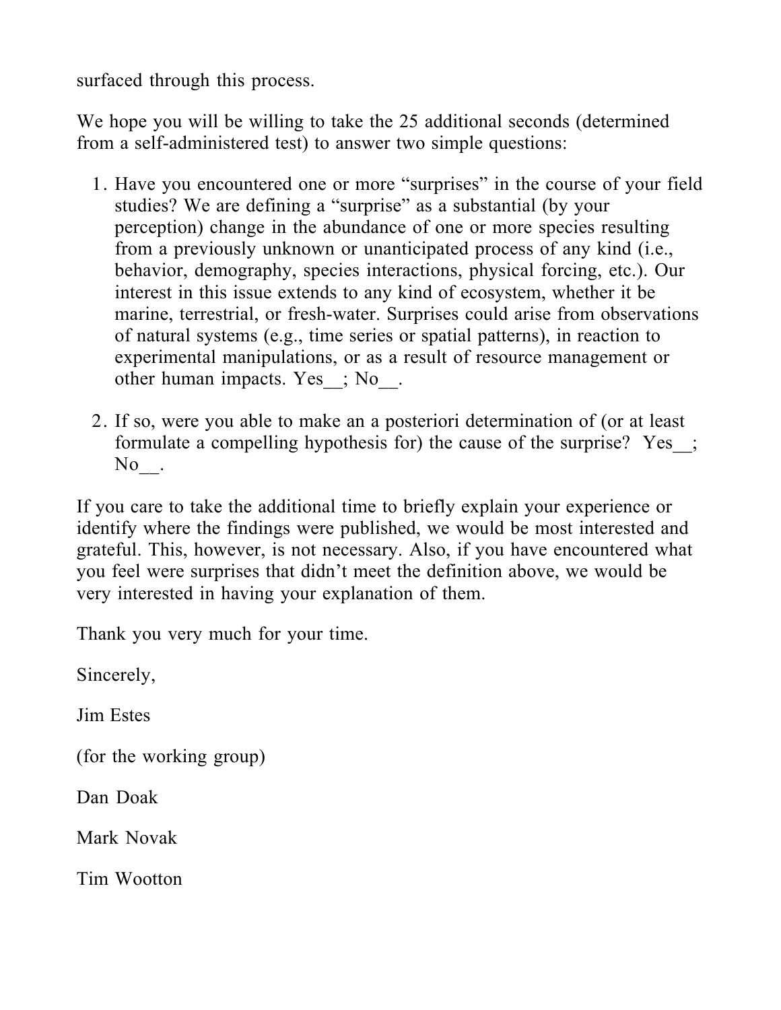surfaced through this process.

We hope you will be willing to take the 25 additional seconds (determined from a self-administered test) to answer two simple questions:

- 1. Have you encountered one or more "surprises" in the course of your field studies? We are defining a "surprise" as a substantial (by your perception) change in the abundance of one or more species resulting from a previously unknown or unanticipated process of any kind (i.e., behavior, demography, species interactions, physical forcing, etc.). Our interest in this issue extends to any kind of ecosystem, whether it be marine, terrestrial, or fresh-water. Surprises could arise from observations of natural systems (e.g., time series or spatial patterns), in reaction to experimental manipulations, or as a result of resource management or other human impacts. Yes ; No.
- 2. If so, were you able to make an a posteriori determination of (or at least formulate a compelling hypothesis for) the cause of the surprise? Yes\_\_; No.

If you care to take the additional time to briefly explain your experience or identify where the findings were published, we would be most interested and grateful. This, however, is not necessary. Also, if you have encountered what you feel were surprises that didn't meet the definition above, we would be very interested in having your explanation of them.

Thank you very much for your time.

Sincerely,

Jim Estes

(for the working group)

Dan Doak

Mark Novak

Tim Wootton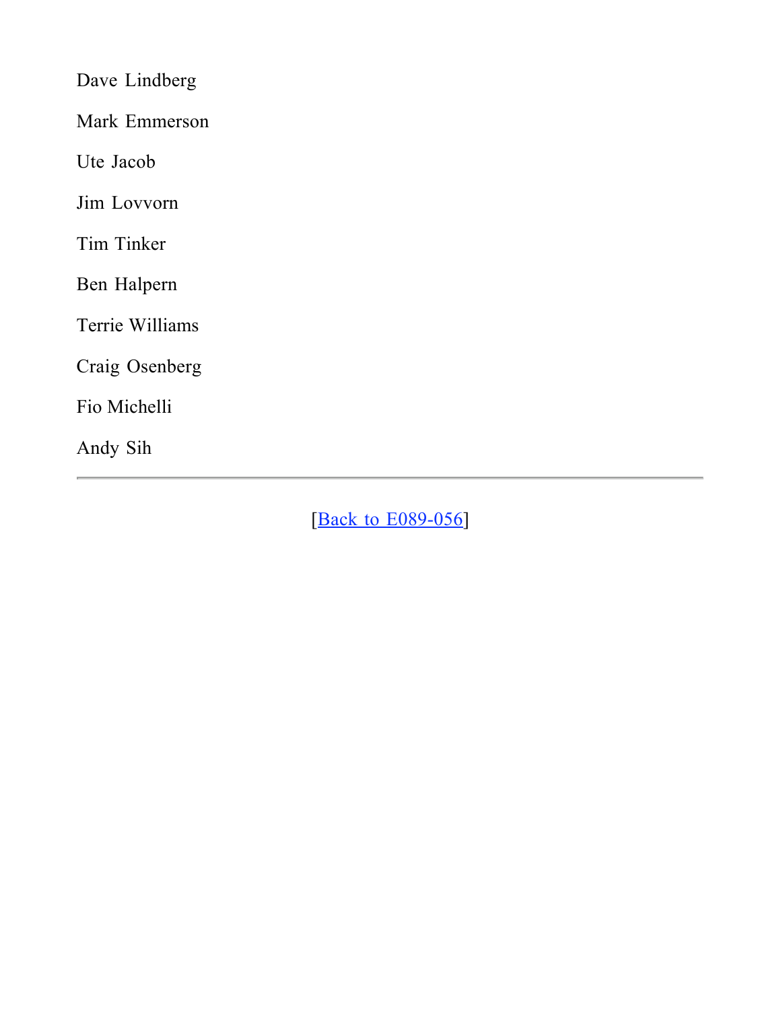Dave Lindberg

Mark Emmerson

Ute Jacob

Jim Lovvorn

Tim Tinker

Ben Halpern

Terrie Williams

Craig Osenberg

Fio Michelli

Andy Sih

[**Back to E089-056**]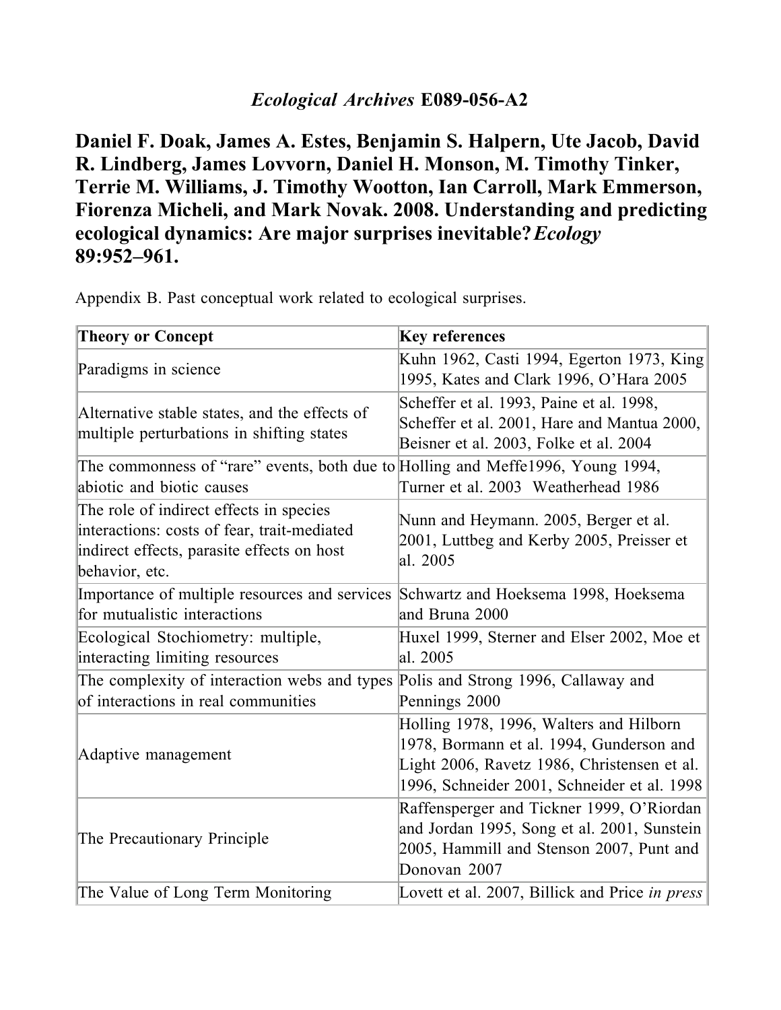## *Ecological Archives* **E089-056-A2**

**Daniel F. Doak, James A. Estes, Benjamin S. Halpern, Ute Jacob, David R. Lindberg, James Lovvorn, Daniel H. Monson, M. Timothy Tinker, Terrie M. Williams, J. Timothy Wootton, Ian Carroll, Mark Emmerson, Fiorenza Micheli, and Mark Novak. 2008. Understanding and predicting ecological dynamics: Are major surprises inevitable?** *Ecology* **89:952–961.**

| <b>Theory or Concept</b>                                                                                                                               | <b>Key references</b>                                                                                                                                                             |
|--------------------------------------------------------------------------------------------------------------------------------------------------------|-----------------------------------------------------------------------------------------------------------------------------------------------------------------------------------|
| Paradigms in science                                                                                                                                   | Kuhn 1962, Casti 1994, Egerton 1973, King<br>1995, Kates and Clark 1996, O'Hara 2005                                                                                              |
| Alternative stable states, and the effects of<br>multiple perturbations in shifting states                                                             | Scheffer et al. 1993, Paine et al. 1998,<br>Scheffer et al. 2001, Hare and Mantua 2000,<br>Beisner et al. 2003, Folke et al. 2004                                                 |
| The commonness of "rare" events, both due to Holling and Meffe1996, Young 1994,<br>abiotic and biotic causes                                           | Turner et al. 2003 Weatherhead 1986                                                                                                                                               |
| The role of indirect effects in species<br>interactions: costs of fear, trait-mediated<br>indirect effects, parasite effects on host<br>behavior, etc. | Nunn and Heymann. 2005, Berger et al.<br>2001, Luttbeg and Kerby 2005, Preisser et<br>al. 2005                                                                                    |
| Importance of multiple resources and services<br>for mutualistic interactions                                                                          | Schwartz and Hoeksema 1998, Hoeksema<br>and Bruna 2000                                                                                                                            |
| Ecological Stochiometry: multiple,<br>interacting limiting resources                                                                                   | Huxel 1999, Sterner and Elser 2002, Moe et<br>al. 2005                                                                                                                            |
| The complexity of interaction webs and types<br>of interactions in real communities                                                                    | Polis and Strong 1996, Callaway and<br>Pennings 2000                                                                                                                              |
| Adaptive management                                                                                                                                    | Holling 1978, 1996, Walters and Hilborn<br>1978, Bormann et al. 1994, Gunderson and<br>Light 2006, Ravetz 1986, Christensen et al.<br>1996, Schneider 2001, Schneider et al. 1998 |
| The Precautionary Principle                                                                                                                            | Raffensperger and Tickner 1999, O'Riordan<br>and Jordan 1995, Song et al. 2001, Sunstein<br>2005, Hammill and Stenson 2007, Punt and<br>Donovan 2007                              |
| The Value of Long Term Monitoring                                                                                                                      | Lovett et al. 2007, Billick and Price in press                                                                                                                                    |

Appendix B. Past conceptual work related to ecological surprises.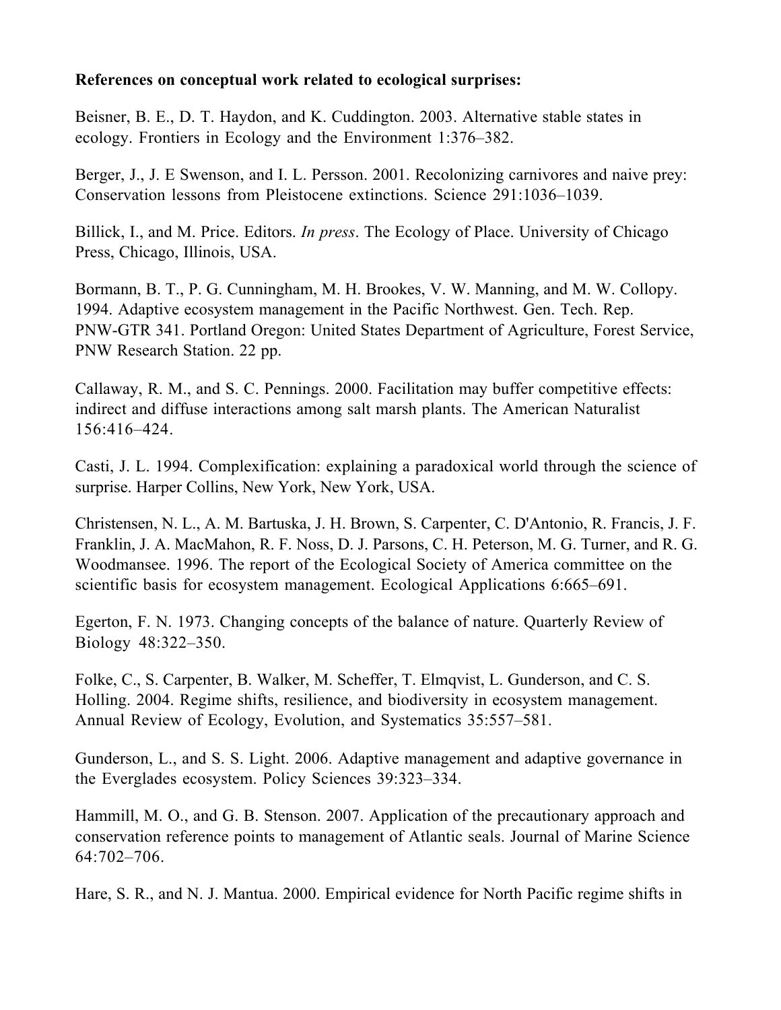### **References on conceptual work related to ecological surprises:**

Beisner, B. E., D. T. Haydon, and K. Cuddington. 2003. Alternative stable states in ecology. Frontiers in Ecology and the Environment 1:376–382.

Berger, J., J. E Swenson, and I. L. Persson. 2001. Recolonizing carnivores and naive prey: Conservation lessons from Pleistocene extinctions. Science 291:1036–1039.

Billick, I., and M. Price. Editors. *In press*. The Ecology of Place. University of Chicago Press, Chicago, Illinois, USA.

Bormann, B. T., P. G. Cunningham, M. H. Brookes, V. W. Manning, and M. W. Collopy. 1994. Adaptive ecosystem management in the Pacific Northwest. Gen. Tech. Rep. PNW-GTR 341. Portland Oregon: United States Department of Agriculture, Forest Service, PNW Research Station. 22 pp.

Callaway, R. M., and S. C. Pennings. 2000. Facilitation may buffer competitive effects: indirect and diffuse interactions among salt marsh plants. The American Naturalist 156:416–424.

Casti, J. L. 1994. Complexification: explaining a paradoxical world through the science of surprise. Harper Collins, New York, New York, USA.

Christensen, N. L., A. M. Bartuska, J. H. Brown, S. Carpenter, C. D'Antonio, R. Francis, J. F. Franklin, J. A. MacMahon, R. F. Noss, D. J. Parsons, C. H. Peterson, M. G. Turner, and R. G. Woodmansee. 1996. The report of the Ecological Society of America committee on the scientific basis for ecosystem management. Ecological Applications 6:665–691.

Egerton, F. N. 1973. Changing concepts of the balance of nature. Quarterly Review of Biology 48:322–350.

Folke, C., S. Carpenter, B. Walker, M. Scheffer, T. Elmqvist, L. Gunderson, and C. S. Holling. 2004. Regime shifts, resilience, and biodiversity in ecosystem management. Annual Review of Ecology, Evolution, and Systematics 35:557–581.

Gunderson, L., and S. S. Light. 2006. Adaptive management and adaptive governance in the Everglades ecosystem. Policy Sciences 39:323–334.

Hammill, M. O., and G. B. Stenson. 2007. Application of the precautionary approach and conservation reference points to management of Atlantic seals. Journal of Marine Science 64:702–706.

Hare, S. R., and N. J. Mantua. 2000. Empirical evidence for North Pacific regime shifts in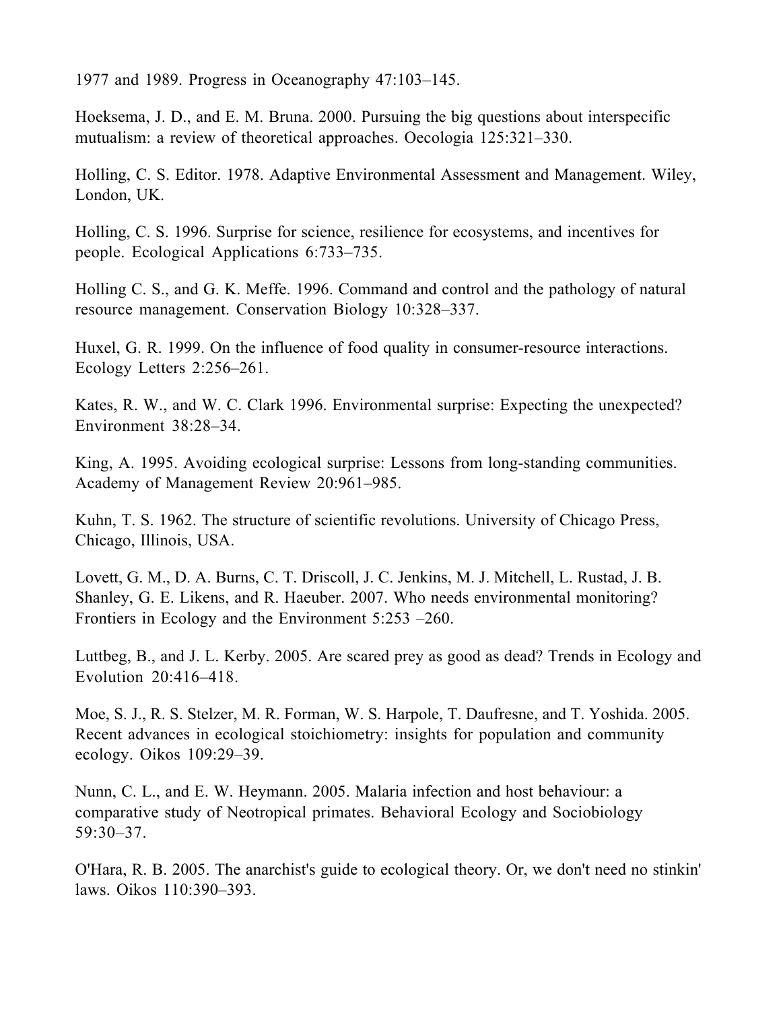1977 and 1989. Progress in Oceanography 47:103–145.

Hoeksema, J. D., and E. M. Bruna. 2000. Pursuing the big questions about interspecific mutualism: a review of theoretical approaches. Oecologia 125:321–330.

Holling, C. S. Editor. 1978. Adaptive Environmental Assessment and Management. Wiley, London, UK.

Holling, C. S. 1996. Surprise for science, resilience for ecosystems, and incentives for people. Ecological Applications 6:733–735.

Holling C. S., and G. K. Meffe. 1996. Command and control and the pathology of natural resource management. Conservation Biology 10:328–337.

Huxel, G. R. 1999. On the influence of food quality in consumer-resource interactions. Ecology Letters 2:256–261.

Kates, R. W., and W. C. Clark 1996. Environmental surprise: Expecting the unexpected? Environment 38:28–34.

King, A. 1995. Avoiding ecological surprise: Lessons from long-standing communities. Academy of Management Review 20:961–985.

Kuhn, T. S. 1962. The structure of scientific revolutions. University of Chicago Press, Chicago, Illinois, USA.

Lovett, G. M., D. A. Burns, C. T. Driscoll, J. C. Jenkins, M. J. Mitchell, L. Rustad, J. B. Shanley, G. E. Likens, and R. Haeuber. 2007. Who needs environmental monitoring? Frontiers in Ecology and the Environment 5:253 –260.

Luttbeg, B., and J. L. Kerby. 2005. Are scared prey as good as dead? Trends in Ecology and Evolution 20:416–418.

Moe, S. J., R. S. Stelzer, M. R. Forman, W. S. Harpole, T. Daufresne, and T. Yoshida. 2005. Recent advances in ecological stoichiometry: insights for population and community ecology. Oikos 109:29–39.

Nunn, C. L., and E. W. Heymann. 2005. Malaria infection and host behaviour: a comparative study of Neotropical primates. Behavioral Ecology and Sociobiology 59:30–37.

O'Hara, R. B. 2005. The anarchist's guide to ecological theory. Or, we don't need no stinkin' laws. Oikos 110:390–393.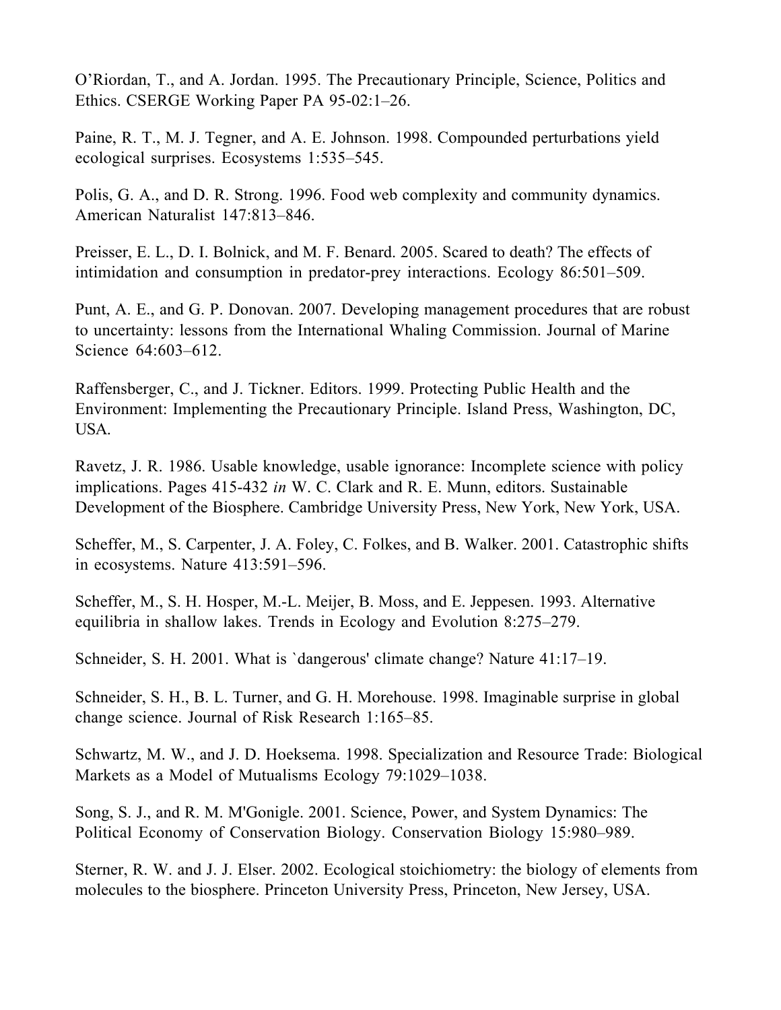O'Riordan, T., and A. Jordan. 1995. The Precautionary Principle, Science, Politics and Ethics. CSERGE Working Paper PA 95-02:1–26.

Paine, R. T., M. J. Tegner, and A. E. Johnson. 1998. Compounded perturbations yield ecological surprises. Ecosystems 1:535–545.

Polis, G. A., and D. R. Strong. 1996. Food web complexity and community dynamics. American Naturalist 147:813–846.

Preisser, E. L., D. I. Bolnick, and M. F. Benard. 2005. Scared to death? The effects of intimidation and consumption in predator-prey interactions. Ecology 86:501–509.

Punt, A. E., and G. P. Donovan. 2007. Developing management procedures that are robust to uncertainty: lessons from the International Whaling Commission. Journal of Marine Science 64:603–612.

Raffensberger, C., and J. Tickner. Editors. 1999. Protecting Public Health and the Environment: Implementing the Precautionary Principle. Island Press, Washington, DC, USA.

Ravetz, J. R. 1986. Usable knowledge, usable ignorance: Incomplete science with policy implications. Pages 415-432 *in* W. C. Clark and R. E. Munn, editors. Sustainable Development of the Biosphere. Cambridge University Press, New York, New York, USA.

Scheffer, M., S. Carpenter, J. A. Foley, C. Folkes, and B. Walker. 2001. Catastrophic shifts in ecosystems. Nature 413:591–596.

Scheffer, M., S. H. Hosper, M.-L. Meijer, B. Moss, and E. Jeppesen. 1993. Alternative equilibria in shallow lakes. Trends in Ecology and Evolution 8:275–279.

Schneider, S. H. 2001. What is `dangerous' climate change? Nature 41:17–19.

Schneider, S. H., B. L. Turner, and G. H. Morehouse. 1998. Imaginable surprise in global change science. Journal of Risk Research 1:165–85.

Schwartz, M. W., and J. D. Hoeksema. 1998. Specialization and Resource Trade: Biological Markets as a Model of Mutualisms Ecology 79:1029–1038.

Song, S. J., and R. M. M'Gonigle. 2001. Science, Power, and System Dynamics: The Political Economy of Conservation Biology. Conservation Biology 15:980–989.

Sterner, R. W. and J. J. Elser. 2002. Ecological stoichiometry: the biology of elements from molecules to the biosphere. Princeton University Press, Princeton, New Jersey, USA.